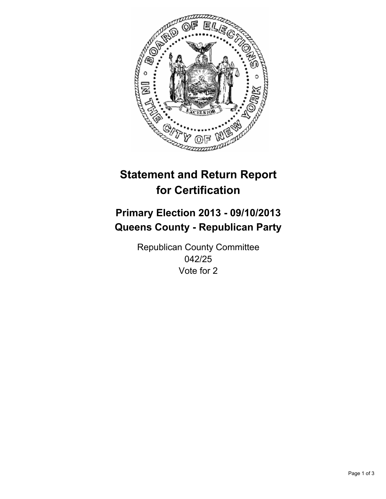

# **Statement and Return Report for Certification**

# **Primary Election 2013 - 09/10/2013 Queens County - Republican Party**

Republican County Committee 042/25 Vote for 2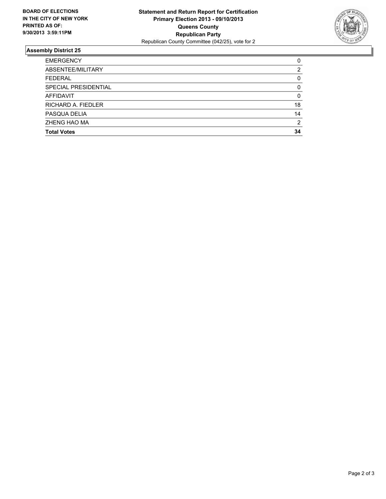

## **Assembly District 25**

| <b>EMERGENCY</b>     | 0        |
|----------------------|----------|
| ABSENTEE/MILITARY    | 2        |
| <b>FEDERAL</b>       | 0        |
| SPECIAL PRESIDENTIAL | $\Omega$ |
| AFFIDAVIT            | 0        |
| RICHARD A. FIEDLER   | 18       |
| PASQUA DELIA         | 14       |
| ZHENG HAO MA         | 2        |
| <b>Total Votes</b>   | 34       |